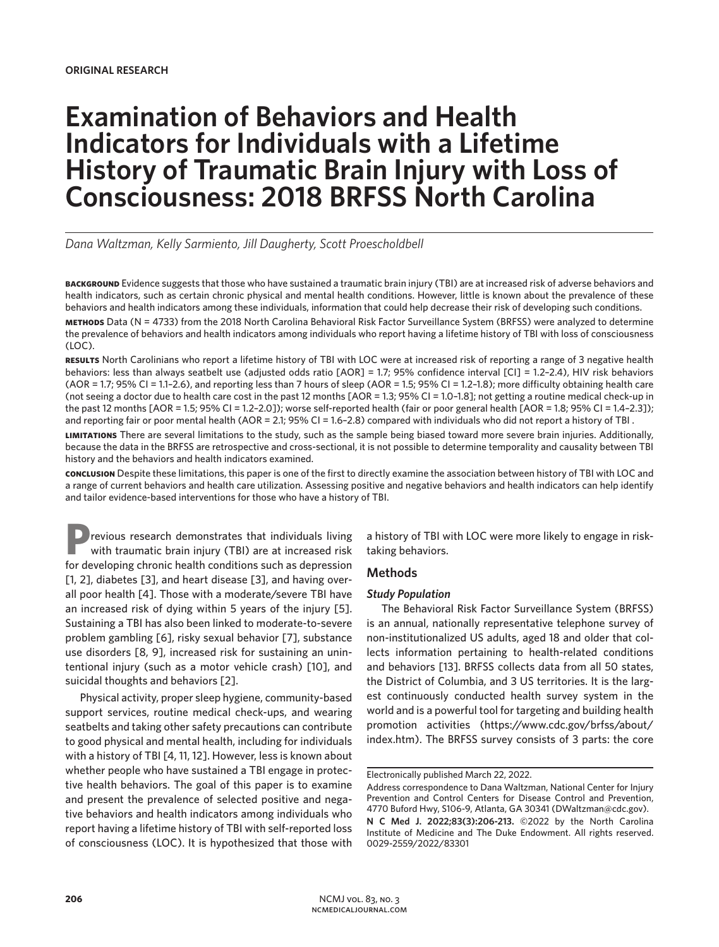# **Examination of Behaviors and Health Indicators for Individuals with a Lifetime History of Traumatic Brain Injury with Loss of Consciousness: 2018 BRFSS North Carolina**

*Dana Waltzman, Kelly Sarmiento, Jill Daugherty, Scott Proescholdbell*

**background** Evidence suggests that those who have sustained a traumatic brain injury (TBI) are at increased risk of adverse behaviors and health indicators, such as certain chronic physical and mental health conditions. However, little is known about the prevalence of these behaviors and health indicators among these individuals, information that could help decrease their risk of developing such conditions. **methods** Data (N = 4733) from the 2018 North Carolina Behavioral Risk Factor Surveillance System (BRFSS) were analyzed to determine the prevalence of behaviors and health indicators among individuals who report having a lifetime history of TBI with loss of consciousness (LOC).

**results** North Carolinians who report a lifetime history of TBI with LOC were at increased risk of reporting a range of 3 negative health behaviors: less than always seatbelt use (adjusted odds ratio [AOR] = 1.7; 95% confidence interval [CI] = 1.2–2.4), HIV risk behaviors (AOR = 1.7; 95% CI = 1.1–2.6), and reporting less than 7 hours of sleep (AOR = 1.5; 95% CI = 1.2–1.8); more difficulty obtaining health care (not seeing a doctor due to health care cost in the past 12 months [AOR = 1.3; 95% CI = 1.0–1.8]; not getting a routine medical check-up in the past 12 months [AOR = 1.5; 95% CI = 1.2–2.0]); worse self-reported health (fair or poor general health [AOR = 1.8; 95% CI = 1.4–2.3]); and reporting fair or poor mental health (AOR = 2.1; 95% CI = 1.6–2.8) compared with individuals who did not report a history of TBI .

**limitations** There are several limitations to the study, such as the sample being biased toward more severe brain injuries. Additionally, because the data in the BRFSS are retrospective and cross-sectional, it is not possible to determine temporality and causality between TBI history and the behaviors and health indicators examined.

**conclusion** Despite these limitations, this paper is one of the first to directly examine the association between history of TBI with LOC and a range of current behaviors and health care utilization. Assessing positive and negative behaviors and health indicators can help identify and tailor evidence-based interventions for those who have a history of TBI.

**P**revious research demonstrates that individuals living with traumatic brain injury (TBI) are at increased risk for developing chronic health conditions such as depression [1, 2], diabetes [3], and heart disease [3], and having overall poor health [4]. Those with a moderate/severe TBI have an increased risk of dying within 5 years of the injury [5]. Sustaining a TBI has also been linked to moderate-to-severe problem gambling [6], risky sexual behavior [7], substance use disorders [8, 9], increased risk for sustaining an unintentional injury (such as a motor vehicle crash) [10], and suicidal thoughts and behaviors [2].

Physical activity, proper sleep hygiene, community-based support services, routine medical check-ups, and wearing seatbelts and taking other safety precautions can contribute to good physical and mental health, including for individuals with a history of TBI [4, 11, 12]. However, less is known about whether people who have sustained a TBI engage in protective health behaviors. The goal of this paper is to examine and present the prevalence of selected positive and negative behaviors and health indicators among individuals who report having a lifetime history of TBI with self-reported loss of consciousness (LOC). It is hypothesized that those with a history of TBI with LOC were more likely to engage in risktaking behaviors.

## **Methods**

# *Study Population*

The Behavioral Risk Factor Surveillance System (BRFSS) is an annual, nationally representative telephone survey of non-institutionalized US adults, aged 18 and older that collects information pertaining to health-related conditions and behaviors [13]. BRFSS collects data from all 50 states, the District of Columbia, and 3 US territories. It is the largest continuously conducted health survey system in the world and is a powerful tool for targeting and building health promotion activities (https://www.cdc.gov/brfss/about/ index.htm). The BRFSS survey consists of 3 parts: the core

Electronically published March 22, 2022.

Address correspondence to Dana Waltzman, National Center for Injury Prevention and Control Centers for Disease Control and Prevention, 4770 Buford Hwy, S106-9, Atlanta, GA 30341 (DWaltzman@cdc.gov). **N C Med J. 2022;83(3):206-213.** ©2022 by the North Carolina Institute of Medicine and The Duke Endowment. All rights reserved. 0029-2559/2022/83301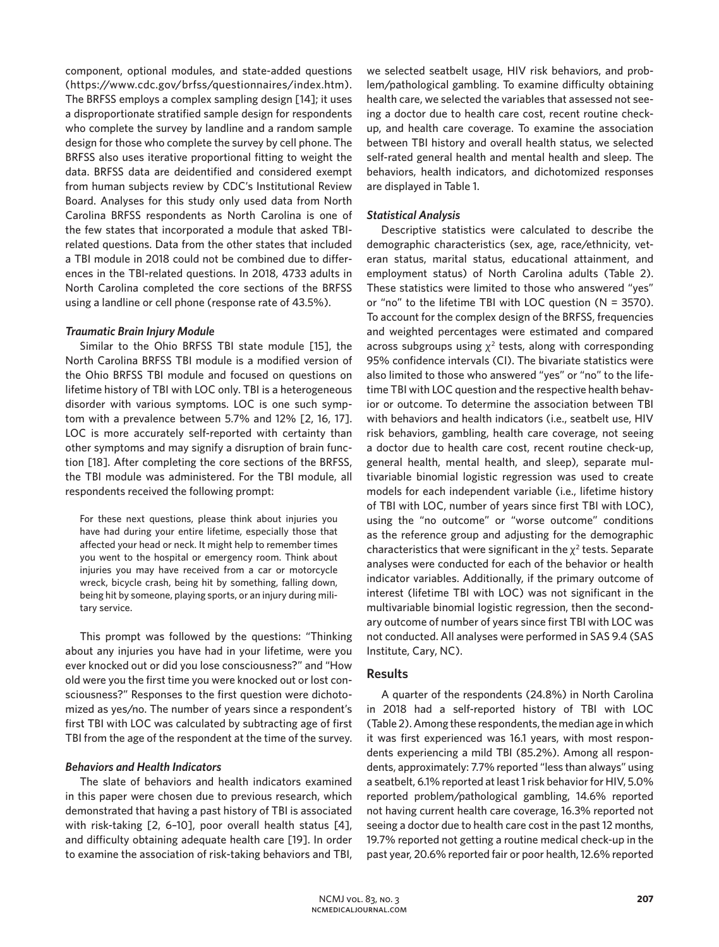component, optional modules, and state-added questions (https://www.cdc.gov/brfss/questionnaires/index.htm). The BRFSS employs a complex sampling design [14]; it uses a disproportionate stratified sample design for respondents who complete the survey by landline and a random sample design for those who complete the survey by cell phone. The BRFSS also uses iterative proportional fitting to weight the data. BRFSS data are deidentified and considered exempt from human subjects review by CDC's Institutional Review Board. Analyses for this study only used data from North Carolina BRFSS respondents as North Carolina is one of the few states that incorporated a module that asked TBIrelated questions. Data from the other states that included a TBI module in 2018 could not be combined due to differences in the TBI-related questions. In 2018, 4733 adults in North Carolina completed the core sections of the BRFSS using a landline or cell phone (response rate of 43.5%).

# *Traumatic Brain Injury Module*

Similar to the Ohio BRFSS TBI state module [15], the North Carolina BRFSS TBI module is a modified version of the Ohio BRFSS TBI module and focused on questions on lifetime history of TBI with LOC only. TBI is a heterogeneous disorder with various symptoms. LOC is one such symptom with a prevalence between 5.7% and 12% [2, 16, 17]. LOC is more accurately self-reported with certainty than other symptoms and may signify a disruption of brain function [18]. After completing the core sections of the BRFSS, the TBI module was administered. For the TBI module, all respondents received the following prompt:

For these next questions, please think about injuries you have had during your entire lifetime, especially those that affected your head or neck. It might help to remember times you went to the hospital or emergency room. Think about injuries you may have received from a car or motorcycle wreck, bicycle crash, being hit by something, falling down, being hit by someone, playing sports, or an injury during military service.

This prompt was followed by the questions: "Thinking about any injuries you have had in your lifetime, were you ever knocked out or did you lose consciousness?" and "How old were you the first time you were knocked out or lost consciousness?" Responses to the first question were dichotomized as yes/no. The number of years since a respondent's first TBI with LOC was calculated by subtracting age of first TBI from the age of the respondent at the time of the survey.

# *Behaviors and Health Indicators*

The slate of behaviors and health indicators examined in this paper were chosen due to previous research, which demonstrated that having a past history of TBI is associated with risk-taking [2, 6–10], poor overall health status [4], and difficulty obtaining adequate health care [19]. In order to examine the association of risk-taking behaviors and TBI, we selected seatbelt usage, HIV risk behaviors, and problem/pathological gambling. To examine difficulty obtaining health care, we selected the variables that assessed not seeing a doctor due to health care cost, recent routine checkup, and health care coverage. To examine the association between TBI history and overall health status, we selected self-rated general health and mental health and sleep. The behaviors, health indicators, and dichotomized responses are displayed in Table 1.

# *Statistical Analysis*

Descriptive statistics were calculated to describe the demographic characteristics (sex, age, race/ethnicity, veteran status, marital status, educational attainment, and employment status) of North Carolina adults (Table 2). These statistics were limited to those who answered "yes" or "no" to the lifetime TBI with LOC question (N = 3570). To account for the complex design of the BRFSS, frequencies and weighted percentages were estimated and compared across subgroups using  $\chi^2$  tests, along with corresponding 95% confidence intervals (CI). The bivariate statistics were also limited to those who answered "yes" or "no" to the lifetime TBI with LOC question and the respective health behavior or outcome. To determine the association between TBI with behaviors and health indicators (i.e., seatbelt use, HIV risk behaviors, gambling, health care coverage, not seeing a doctor due to health care cost, recent routine check-up, general health, mental health, and sleep), separate multivariable binomial logistic regression was used to create models for each independent variable (i.e., lifetime history of TBI with LOC, number of years since first TBI with LOC), using the "no outcome" or "worse outcome" conditions as the reference group and adjusting for the demographic characteristics that were significant in the  $\chi^2$  tests. Separate analyses were conducted for each of the behavior or health indicator variables. Additionally, if the primary outcome of interest (lifetime TBI with LOC) was not significant in the multivariable binomial logistic regression, then the secondary outcome of number of years since first TBI with LOC was not conducted. All analyses were performed in SAS 9.4 (SAS Institute, Cary, NC).

# **Results**

A quarter of the respondents (24.8%) in North Carolina in 2018 had a self-reported history of TBI with LOC (Table 2). Among these respondents, the median age in which it was first experienced was 16.1 years, with most respondents experiencing a mild TBI (85.2%). Among all respondents, approximately: 7.7% reported "less than always" using a seatbelt, 6.1% reported at least 1 risk behavior for HIV, 5.0% reported problem/pathological gambling, 14.6% reported not having current health care coverage, 16.3% reported not seeing a doctor due to health care cost in the past 12 months, 19.7% reported not getting a routine medical check-up in the past year, 20.6% reported fair or poor health, 12.6% reported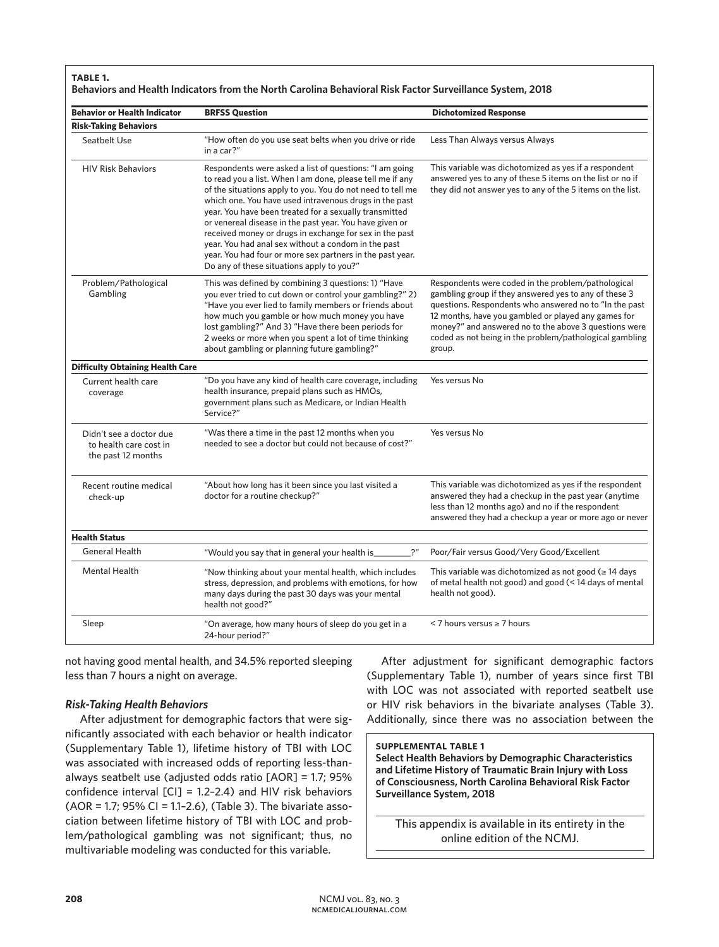#### **table 1.**

#### **Behaviors and Health Indicators from the North Carolina Behavioral Risk Factor Surveillance System, 2018**

| <b>Behavior or Health Indicator</b>                                     | <b>BRFSS Question</b>                                                                                                                                                                                                                                                                                                                                                                                                                                                                                                                                                                         | <b>Dichotomized Response</b>                                                                                                                                                                                                                                                                                                                               |  |  |  |  |
|-------------------------------------------------------------------------|-----------------------------------------------------------------------------------------------------------------------------------------------------------------------------------------------------------------------------------------------------------------------------------------------------------------------------------------------------------------------------------------------------------------------------------------------------------------------------------------------------------------------------------------------------------------------------------------------|------------------------------------------------------------------------------------------------------------------------------------------------------------------------------------------------------------------------------------------------------------------------------------------------------------------------------------------------------------|--|--|--|--|
| <b>Risk-Taking Behaviors</b>                                            |                                                                                                                                                                                                                                                                                                                                                                                                                                                                                                                                                                                               |                                                                                                                                                                                                                                                                                                                                                            |  |  |  |  |
| Seatbelt Use                                                            | "How often do you use seat belts when you drive or ride<br>in a car?"                                                                                                                                                                                                                                                                                                                                                                                                                                                                                                                         | Less Than Always versus Always                                                                                                                                                                                                                                                                                                                             |  |  |  |  |
| <b>HIV Risk Behaviors</b>                                               | Respondents were asked a list of questions: "I am going<br>to read you a list. When I am done, please tell me if any<br>of the situations apply to you. You do not need to tell me<br>which one. You have used intravenous drugs in the past<br>year. You have been treated for a sexually transmitted<br>or venereal disease in the past year. You have given or<br>received money or drugs in exchange for sex in the past<br>year. You had anal sex without a condom in the past<br>year. You had four or more sex partners in the past year.<br>Do any of these situations apply to you?" | This variable was dichotomized as yes if a respondent<br>answered yes to any of these 5 items on the list or no if<br>they did not answer yes to any of the 5 items on the list.                                                                                                                                                                           |  |  |  |  |
| Problem/Pathological<br>Gambling                                        | This was defined by combining 3 questions: 1) "Have<br>you ever tried to cut down or control your gambling?" 2)<br>"Have you ever lied to family members or friends about<br>how much you gamble or how much money you have<br>lost gambling?" And 3) "Have there been periods for<br>2 weeks or more when you spent a lot of time thinking<br>about gambling or planning future gambling?"                                                                                                                                                                                                   | Respondents were coded in the problem/pathological<br>gambling group if they answered yes to any of these 3<br>questions. Respondents who answered no to "In the past<br>12 months, have you gambled or played any games for<br>money?" and answered no to the above 3 questions were<br>coded as not being in the problem/pathological gambling<br>group. |  |  |  |  |
| <b>Difficulty Obtaining Health Care</b>                                 |                                                                                                                                                                                                                                                                                                                                                                                                                                                                                                                                                                                               |                                                                                                                                                                                                                                                                                                                                                            |  |  |  |  |
| Current health care<br>coverage                                         | "Do you have any kind of health care coverage, including<br>health insurance, prepaid plans such as HMOs,<br>government plans such as Medicare, or Indian Health<br>Service?"                                                                                                                                                                                                                                                                                                                                                                                                                 | Yes versus No                                                                                                                                                                                                                                                                                                                                              |  |  |  |  |
| Didn't see a doctor due<br>to health care cost in<br>the past 12 months | "Was there a time in the past 12 months when you<br>needed to see a doctor but could not because of cost?"                                                                                                                                                                                                                                                                                                                                                                                                                                                                                    | Yes versus No                                                                                                                                                                                                                                                                                                                                              |  |  |  |  |
| Recent routine medical<br>check-up                                      | "About how long has it been since you last visited a<br>doctor for a routine checkup?"                                                                                                                                                                                                                                                                                                                                                                                                                                                                                                        | This variable was dichotomized as yes if the respondent<br>answered they had a checkup in the past year (anytime<br>less than 12 months ago) and no if the respondent<br>answered they had a checkup a year or more ago or never                                                                                                                           |  |  |  |  |
| <b>Health Status</b>                                                    |                                                                                                                                                                                                                                                                                                                                                                                                                                                                                                                                                                                               |                                                                                                                                                                                                                                                                                                                                                            |  |  |  |  |
| <b>General Health</b>                                                   | 2 <sup>n</sup><br>"Would you say that in general your health is                                                                                                                                                                                                                                                                                                                                                                                                                                                                                                                               | Poor/Fair versus Good/Very Good/Excellent                                                                                                                                                                                                                                                                                                                  |  |  |  |  |
| <b>Mental Health</b>                                                    | "Now thinking about your mental health, which includes<br>stress, depression, and problems with emotions, for how<br>many days during the past 30 days was your mental<br>health not good?"                                                                                                                                                                                                                                                                                                                                                                                                   | This variable was dichotomized as not good ( $\geq$ 14 days<br>of metal health not good) and good (< 14 days of mental<br>health not good).                                                                                                                                                                                                                |  |  |  |  |
| Sleep                                                                   | "On average, how many hours of sleep do you get in a<br>24-hour period?"                                                                                                                                                                                                                                                                                                                                                                                                                                                                                                                      | $<$ 7 hours versus $\geq$ 7 hours                                                                                                                                                                                                                                                                                                                          |  |  |  |  |

not having good mental health, and 34.5% reported sleeping less than 7 hours a night on average.

## *Risk-Taking Health Behaviors*

After adjustment for demographic factors that were significantly associated with each behavior or health indicator (Supplementary Table 1), lifetime history of TBI with LOC was associated with increased odds of reporting less-thanalways seatbelt use (adjusted odds ratio [AOR] = 1.7; 95% confidence interval [CI] = 1.2–2.4) and HIV risk behaviors (AOR = 1.7; 95% CI = 1.1–2.6), (Table 3). The bivariate association between lifetime history of TBI with LOC and problem/pathological gambling was not significant; thus, no multivariable modeling was conducted for this variable.

After adjustment for significant demographic factors (Supplementary Table 1), number of years since first TBI with LOC was not associated with reported seatbelt use or HIV risk behaviors in the bivariate analyses (Table 3). Additionally, since there was no association between the

## **supplemental table 1**

**Select Health Behaviors by Demographic Characteristics and Lifetime History of Traumatic Brain Injury with Loss of Consciousness, North Carolina Behavioral Risk Factor Surveillance System, 2018**

This appendix is available in its entirety in the online edition of the NCMJ.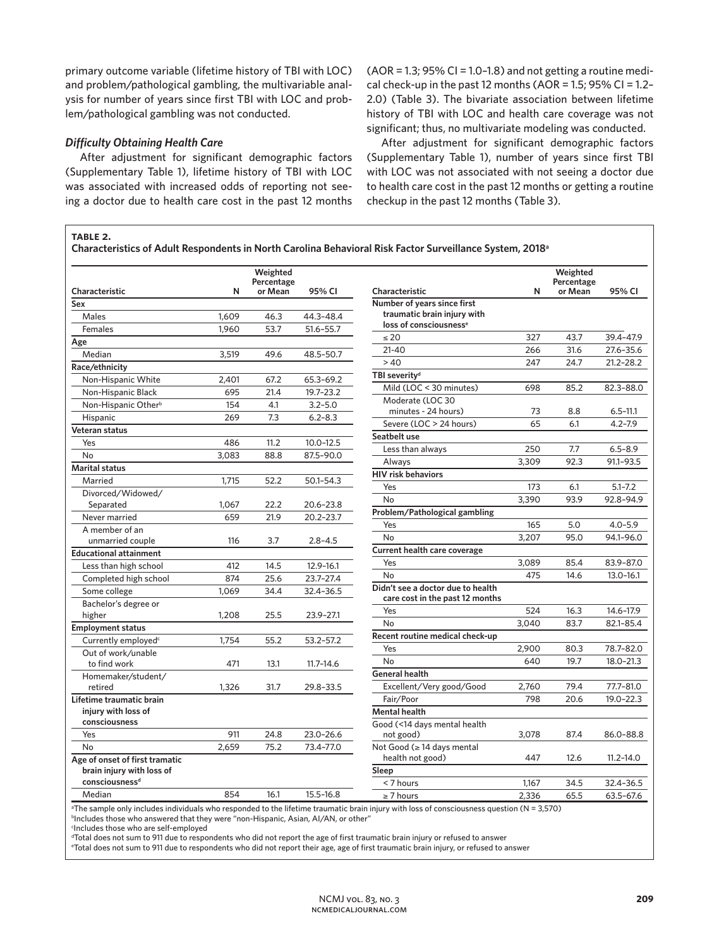primary outcome variable (lifetime history of TBI with LOC) and problem/pathological gambling, the multivariable analysis for number of years since first TBI with LOC and problem/pathological gambling was not conducted.

#### *Difficulty Obtaining Health Care*

**table 2.**

After adjustment for significant demographic factors (Supplementary Table 1), lifetime history of TBI with LOC was associated with increased odds of reporting not seeing a doctor due to health care cost in the past 12 months  $(AOR = 1.3; 95\% CI = 1.0-1.8)$  and not getting a routine medical check-up in the past 12 months (AOR = 1.5; 95% CI = 1.2-2.0) (Table 3). The bivariate association between lifetime history of TBI with LOC and health care coverage was not significant; thus, no multivariate modeling was conducted.

After adjustment for significant demographic factors (Supplementary Table 1), number of years since first TBI with LOC was not associated with not seeing a doctor due to health care cost in the past 12 months or getting a routine checkup in the past 12 months (Table 3).

**Characteristics of Adult Respondents in North Carolina Behavioral Risk Factor Surveillance System, 2018a**

|                                 |       | Weighted<br>Percentage |               |                                    |       | Weighted<br>Percentage<br>or Mean | 95% CI        |
|---------------------------------|-------|------------------------|---------------|------------------------------------|-------|-----------------------------------|---------------|
| Characteristic                  | N     | or Mean                | 95% CI        | Characteristic                     | N     |                                   |               |
| Sex                             |       |                        |               | Number of years since first        |       |                                   |               |
| Males                           | 1,609 | 46.3                   | 44.3-48.4     | traumatic brain injury with        |       |                                   |               |
| Females                         | 1.960 | 53.7                   | 51.6-55.7     | loss of consciousness <sup>e</sup> |       |                                   |               |
| Age                             |       |                        |               | $\leq 20$                          | 327   | 43.7                              | 39.4-47.9     |
| Median                          | 3,519 | 49.6                   | 48.5-50.7     | $21 - 40$                          | 266   | 31.6                              | 27.6-35.6     |
| Race/ethnicity                  |       |                        |               | >40                                | 247   | 24.7                              | $21.2 - 28.2$ |
| Non-Hispanic White              | 2.401 | 67.2                   | 65.3-69.2     | TBI severity <sup>d</sup>          |       |                                   |               |
| Non-Hispanic Black              | 695   | 21.4                   | 19.7-23.2     | Mild (LOC < 30 minutes)            | 698   | 85.2                              | 82.3-88.0     |
| Non-Hispanic Other <sup>b</sup> | 154   | 4.1                    | $3.2 - 5.0$   | Moderate (LOC 30                   |       |                                   |               |
| Hispanic                        | 269   | 7.3                    | $6.2 - 8.3$   | minutes - 24 hours)                | 73    | 8.8                               | $6.5 - 11.1$  |
| Veteran status                  |       |                        |               | Severe (LOC > 24 hours)            | 65    | 6.1                               | $4.2 - 7.9$   |
| Yes                             | 486   | 11.2                   | $10.0 - 12.5$ | Seatbelt use                       |       |                                   |               |
| No                              | 3,083 | 88.8                   | 87.5-90.0     | Less than always                   | 250   | 7.7                               | $6.5 - 8.9$   |
| <b>Marital status</b>           |       |                        |               | Always                             | 3,309 | 92.3                              | 91.1-93.5     |
| Married                         | 1,715 | 52.2                   | 50.1-54.3     | <b>HIV risk behaviors</b>          |       |                                   |               |
| Divorced/Widowed/               |       |                        |               | Yes                                | 173   | 6.1                               | $5.1 - 7.2$   |
| Separated                       | 1,067 | 22.2                   | 20.6-23.8     | No                                 | 3,390 | 93.9                              | 92.8-94.9     |
| Never married                   | 659   | 21.9                   | 20.2-23.7     | Problem/Pathological gambling      |       |                                   |               |
| A member of an                  |       |                        |               | Yes                                | 165   | 5.0                               | $4.0 - 5.9$   |
| unmarried couple                | 116   | 3.7                    | $2.8 - 4.5$   | No                                 | 3,207 | 95.0                              | 94.1-96.0     |
| <b>Educational attainment</b>   |       |                        |               | Current health care coverage       |       |                                   |               |
| Less than high school           | 412   | 14.5                   | 12.9-16.1     | Yes                                | 3,089 | 85.4                              | 83.9-87.0     |
| Completed high school           | 874   | 25.6                   | 23.7-27.4     | No                                 | 475   | 14.6                              | $13.0 - 16.1$ |
| Some college                    | 1.069 | 34.4                   | 32.4-36.5     | Didn't see a doctor due to health  |       |                                   |               |
| Bachelor's degree or            |       |                        |               | care cost in the past 12 months    |       |                                   |               |
| higher                          | 1,208 | 25.5                   | 23.9-27.1     | Yes                                | 524   | 16.3                              | 14.6-17.9     |
| <b>Employment status</b>        |       |                        |               | No                                 | 3,040 | 83.7                              | 82.1-85.4     |
| Currently employed <sup>c</sup> | 1,754 | 55.2                   | 53.2-57.2     | Recent routine medical check-up    |       |                                   |               |
| Out of work/unable              |       |                        |               | Yes                                | 2,900 | 80.3                              | 78.7-82.0     |
| to find work                    | 471   | 13.1                   | $11.7 - 14.6$ | <b>No</b>                          | 640   | 19.7                              | $18.0 - 21.3$ |
| Homemaker/student/              |       |                        |               | <b>General health</b>              |       |                                   |               |
| retired                         | 1,326 | 31.7                   | 29.8-33.5     | Excellent/Very good/Good           | 2,760 | 79.4                              | 77.7-81.0     |
| Lifetime traumatic brain        |       |                        |               | Fair/Poor                          | 798   | 20.6                              | $19.0 - 22.3$ |
| injury with loss of             |       |                        |               | <b>Mental health</b>               |       |                                   |               |
| consciousness                   |       |                        |               | Good (<14 days mental health       |       |                                   |               |
| Yes                             | 911   | 24.8                   | 23.0-26.6     | not good)                          | 3,078 | 87.4                              | 86.0-88.8     |
| No                              | 2.659 | 75.2                   | 73.4-77.0     | Not Good (≥ 14 days mental         |       |                                   |               |
| Age of onset of first tramatic  |       |                        |               | health not good)                   | 447   | 12.6                              | $11.2 - 14.0$ |
| brain injury with loss of       |       |                        |               | Sleep                              |       |                                   |               |
| consciousness <sup>d</sup>      |       |                        |               | < 7 hours                          | 1,167 | 34.5                              | 32.4-36.5     |
| Median                          | 854   | 16.1                   | $15.5 - 16.8$ | $\geq$ 7 hours                     | 2,336 | 65.5                              | $63.5 - 67.6$ |

a The sample only includes individuals who responded to the lifetime traumatic brain injury with loss of consciousness question (N = 3,570) b Includes those who answered that they were "non-Hispanic, Asian, AI/AN, or other"

c Includes those who are self-employed

d Total does not sum to 911 due to respondents who did not report the age of first traumatic brain injury or refused to answer

e Total does not sum to 911 due to respondents who did not report their age, age of first traumatic brain injury, or refused to answer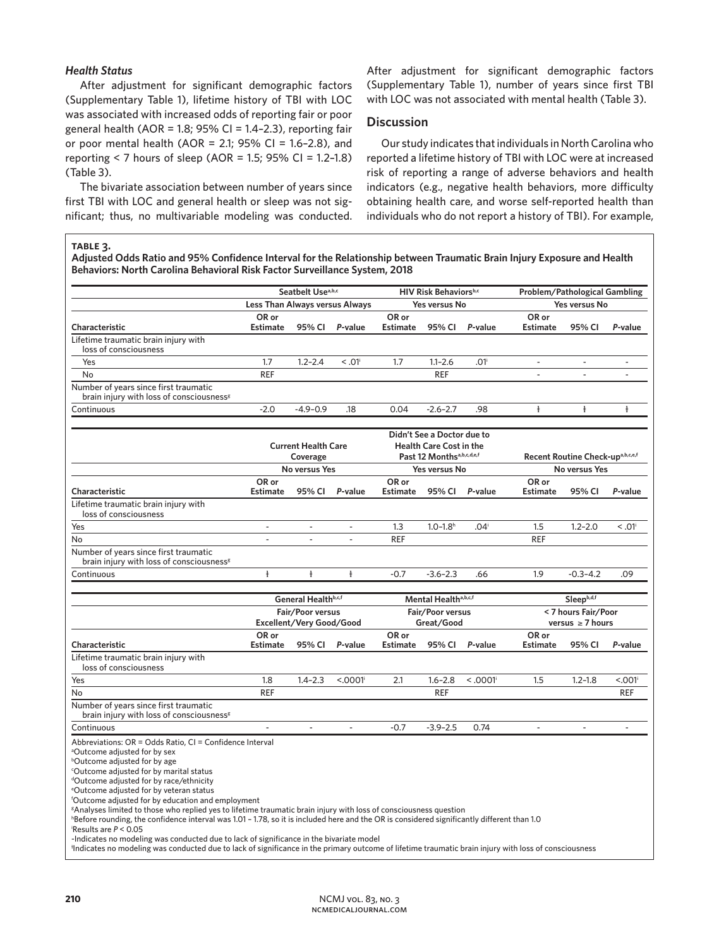## *Health Status*

After adjustment for significant demographic factors (Supplementary Table 1), lifetime history of TBI with LOC was associated with increased odds of reporting fair or poor general health (AOR = 1.8; 95% CI = 1.4-2.3), reporting fair or poor mental health (AOR = 2.1; 95% CI = 1.6-2.8), and reporting < 7 hours of sleep (AOR = 1.5; 95% CI = 1.2–1.8) (Table 3).

The bivariate association between number of years since first TBI with LOC and general health or sleep was not significant; thus, no multivariable modeling was conducted. After adjustment for significant demographic factors (Supplementary Table 1), number of years since first TBI with LOC was not associated with mental health (Table 3).

# **Discussion**

Our study indicates that individuals in North Carolina who reported a lifetime history of TBI with LOC were at increased risk of reporting a range of adverse behaviors and health indicators (e.g., negative health behaviors, more difficulty obtaining health care, and worse self-reported health than individuals who do not report a history of TBI). For example,

#### **table 3.**

**Adjusted Odds Ratio and 95% Confidence Interval for the Relationship between Traumatic Brain Injury Exposure and Health Behaviors: North Carolina Behavioral Risk Factor Surveillance System, 2018**

|                                                                                                                                                                                                                                                                                                                                                                                                                                                                                                                                                                                                                                                                                                                                                                                                                                                                                                                                                      | Seatbelt Usea,b,c<br>Less Than Always versus Always |                                              |                                                                                                       | <b>HIV Risk Behaviorsb,c</b><br>Yes versus No |                          |                                  | Problem/Pathological Gambling                |                          |                              |  |
|------------------------------------------------------------------------------------------------------------------------------------------------------------------------------------------------------------------------------------------------------------------------------------------------------------------------------------------------------------------------------------------------------------------------------------------------------------------------------------------------------------------------------------------------------------------------------------------------------------------------------------------------------------------------------------------------------------------------------------------------------------------------------------------------------------------------------------------------------------------------------------------------------------------------------------------------------|-----------------------------------------------------|----------------------------------------------|-------------------------------------------------------------------------------------------------------|-----------------------------------------------|--------------------------|----------------------------------|----------------------------------------------|--------------------------|------------------------------|--|
|                                                                                                                                                                                                                                                                                                                                                                                                                                                                                                                                                                                                                                                                                                                                                                                                                                                                                                                                                      |                                                     |                                              |                                                                                                       |                                               |                          |                                  | Yes versus No                                |                          |                              |  |
| Characteristic                                                                                                                                                                                                                                                                                                                                                                                                                                                                                                                                                                                                                                                                                                                                                                                                                                                                                                                                       | OR or<br><b>Estimate</b>                            | 95% CI                                       | P-value                                                                                               | OR or<br><b>Estimate</b>                      | 95% CI                   | P-value                          | OR or<br><b>Estimate</b>                     | 95% CI                   | P-value                      |  |
| Lifetime traumatic brain injury with<br>loss of consciousness                                                                                                                                                                                                                                                                                                                                                                                                                                                                                                                                                                                                                                                                                                                                                                                                                                                                                        |                                                     |                                              |                                                                                                       |                                               |                          |                                  |                                              |                          |                              |  |
| Yes                                                                                                                                                                                                                                                                                                                                                                                                                                                                                                                                                                                                                                                                                                                                                                                                                                                                                                                                                  | 1.7                                                 | $1.2 - 2.4$                                  | < 0.01                                                                                                | 1.7                                           | $1.1 - 2.6$              | .01 <sup>i</sup>                 | $\sim$                                       | $\overline{\phantom{a}}$ | ÷.                           |  |
| No                                                                                                                                                                                                                                                                                                                                                                                                                                                                                                                                                                                                                                                                                                                                                                                                                                                                                                                                                   | <b>REF</b>                                          |                                              |                                                                                                       |                                               | <b>REF</b>               |                                  | $\overline{\phantom{a}}$                     | $\overline{a}$           | $\qquad \qquad \blacksquare$ |  |
| Number of years since first traumatic<br>brain injury with loss of consciousness <sup>g</sup>                                                                                                                                                                                                                                                                                                                                                                                                                                                                                                                                                                                                                                                                                                                                                                                                                                                        |                                                     |                                              |                                                                                                       |                                               |                          |                                  |                                              |                          |                              |  |
| Continuous                                                                                                                                                                                                                                                                                                                                                                                                                                                                                                                                                                                                                                                                                                                                                                                                                                                                                                                                           | $-2.0$                                              | $-4.9 - 0.9$                                 | .18                                                                                                   | 0.04                                          | $-2.6 - 2.7$             | .98                              | ŧ                                            | ŧ                        | $\ddagger$                   |  |
|                                                                                                                                                                                                                                                                                                                                                                                                                                                                                                                                                                                                                                                                                                                                                                                                                                                                                                                                                      | <b>Current Health Care</b><br>Coverage              |                                              | Didn't See a Doctor due to<br><b>Health Care Cost in the</b><br>Past 12 Months <sup>a,b,c,d,e,f</sup> |                                               |                          | Recent Routine Check-upa,b,c,e,f |                                              |                          |                              |  |
|                                                                                                                                                                                                                                                                                                                                                                                                                                                                                                                                                                                                                                                                                                                                                                                                                                                                                                                                                      |                                                     | No versus Yes                                |                                                                                                       | Yes versus No                                 |                          |                                  | No versus Yes                                |                          |                              |  |
| Characteristic                                                                                                                                                                                                                                                                                                                                                                                                                                                                                                                                                                                                                                                                                                                                                                                                                                                                                                                                       | OR or<br><b>Estimate</b>                            | 95% CI                                       | P-value                                                                                               | OR or<br><b>Estimate</b>                      | 95% CI                   | P-value                          | OR or<br><b>Estimate</b>                     | 95% CI                   | P-value                      |  |
| Lifetime traumatic brain injury with<br>loss of consciousness                                                                                                                                                                                                                                                                                                                                                                                                                                                                                                                                                                                                                                                                                                                                                                                                                                                                                        |                                                     |                                              |                                                                                                       |                                               |                          |                                  |                                              |                          |                              |  |
| Yes                                                                                                                                                                                                                                                                                                                                                                                                                                                                                                                                                                                                                                                                                                                                                                                                                                                                                                                                                  | $\blacksquare$                                      | $\overline{\phantom{a}}$                     | $\blacksquare$                                                                                        | 1.3                                           | $1.0 - 1.8$ <sup>h</sup> | .04 <sup>i</sup>                 | 1.5                                          | $1.2 - 2.0$              | < 0.01                       |  |
| No                                                                                                                                                                                                                                                                                                                                                                                                                                                                                                                                                                                                                                                                                                                                                                                                                                                                                                                                                   | $\overline{\phantom{a}}$                            | $\sim$                                       | $\overline{\phantom{a}}$                                                                              | <b>REF</b>                                    |                          |                                  | REF                                          |                          |                              |  |
| Number of years since first traumatic<br>brain injury with loss of consciousness <sup>g</sup>                                                                                                                                                                                                                                                                                                                                                                                                                                                                                                                                                                                                                                                                                                                                                                                                                                                        |                                                     |                                              |                                                                                                       |                                               |                          |                                  |                                              |                          |                              |  |
| Continuous                                                                                                                                                                                                                                                                                                                                                                                                                                                                                                                                                                                                                                                                                                                                                                                                                                                                                                                                           | ŧ                                                   | $\frac{1}{2}$                                | ŧ                                                                                                     | $-0.7$                                        | $-3.6 - 2.3$             | .66                              | 1.9                                          | $-0.3 - 4.2$             | .09                          |  |
|                                                                                                                                                                                                                                                                                                                                                                                                                                                                                                                                                                                                                                                                                                                                                                                                                                                                                                                                                      | General Healthb,c,f                                 |                                              |                                                                                                       | Mental Health <sup>a,b,c,f</sup>              |                          |                                  | Sleepb,d,f                                   |                          |                              |  |
|                                                                                                                                                                                                                                                                                                                                                                                                                                                                                                                                                                                                                                                                                                                                                                                                                                                                                                                                                      |                                                     | Fair/Poor versus<br>Excellent/Very Good/Good |                                                                                                       | Fair/Poor versus<br>Great/Good                |                          |                                  | < 7 hours Fair/Poor<br>versus $\geq$ 7 hours |                          |                              |  |
| Characteristic                                                                                                                                                                                                                                                                                                                                                                                                                                                                                                                                                                                                                                                                                                                                                                                                                                                                                                                                       | OR or<br><b>Estimate</b>                            | 95% CI                                       | P-value                                                                                               | OR or<br><b>Estimate</b>                      | 95% CI                   | P-value                          | OR or<br><b>Estimate</b>                     | 95% CI                   | P-value                      |  |
| Lifetime traumatic brain injury with<br>loss of consciousness                                                                                                                                                                                                                                                                                                                                                                                                                                                                                                                                                                                                                                                                                                                                                                                                                                                                                        |                                                     |                                              |                                                                                                       |                                               |                          |                                  |                                              |                          |                              |  |
| Yes                                                                                                                                                                                                                                                                                                                                                                                                                                                                                                                                                                                                                                                                                                                                                                                                                                                                                                                                                  | 1.8                                                 | $1.4 - 2.3$                                  | < 0.001                                                                                               | 2.1                                           | $1.6 - 2.8$              | < .0001                          | 1.5                                          | $1.2 - 1.8$              | < 0.001                      |  |
| No                                                                                                                                                                                                                                                                                                                                                                                                                                                                                                                                                                                                                                                                                                                                                                                                                                                                                                                                                   | <b>REF</b>                                          |                                              |                                                                                                       |                                               | <b>REF</b>               |                                  |                                              |                          | <b>REF</b>                   |  |
| Number of years since first traumatic<br>brain injury with loss of consciousness <sup>g</sup>                                                                                                                                                                                                                                                                                                                                                                                                                                                                                                                                                                                                                                                                                                                                                                                                                                                        |                                                     |                                              |                                                                                                       |                                               |                          |                                  |                                              |                          |                              |  |
| Continuous                                                                                                                                                                                                                                                                                                                                                                                                                                                                                                                                                                                                                                                                                                                                                                                                                                                                                                                                           | $\overline{\phantom{a}}$                            | $\omega$                                     | $\overline{\phantom{a}}$                                                                              | $-0.7$                                        | $-3.9 - 2.5$             | 0.74                             | $\blacksquare$                               | $\blacksquare$           | $\overline{a}$               |  |
| Abbreviations: OR = Odds Ratio, CI = Confidence Interval<br><sup>a</sup> Outcome adjusted for by sex<br><sup>b</sup> Outcome adjusted for by age<br><sup>c</sup> Outcome adjusted for by marital status<br><sup>d</sup> Outcome adjusted for by race/ethnicity<br><sup>e</sup> Outcome adjusted for by veteran status<br><sup>f</sup> Outcome adjusted for by education and employment<br><sup>g</sup> Analyses limited to those who replied yes to lifetime traumatic brain injury with loss of consciousness question<br>hBefore rounding, the confidence interval was 1.01 - 1.78, so it is included here and the OR is considered significantly different than 1.0<br>Results are $P < 0.05$<br>-Indicates no modeling was conducted due to lack of significance in the bivariate model<br>'Indicates no modeling was conducted due to lack of significance in the primary outcome of lifetime traumatic brain injury with loss of consciousness |                                                     |                                              |                                                                                                       |                                               |                          |                                  |                                              |                          |                              |  |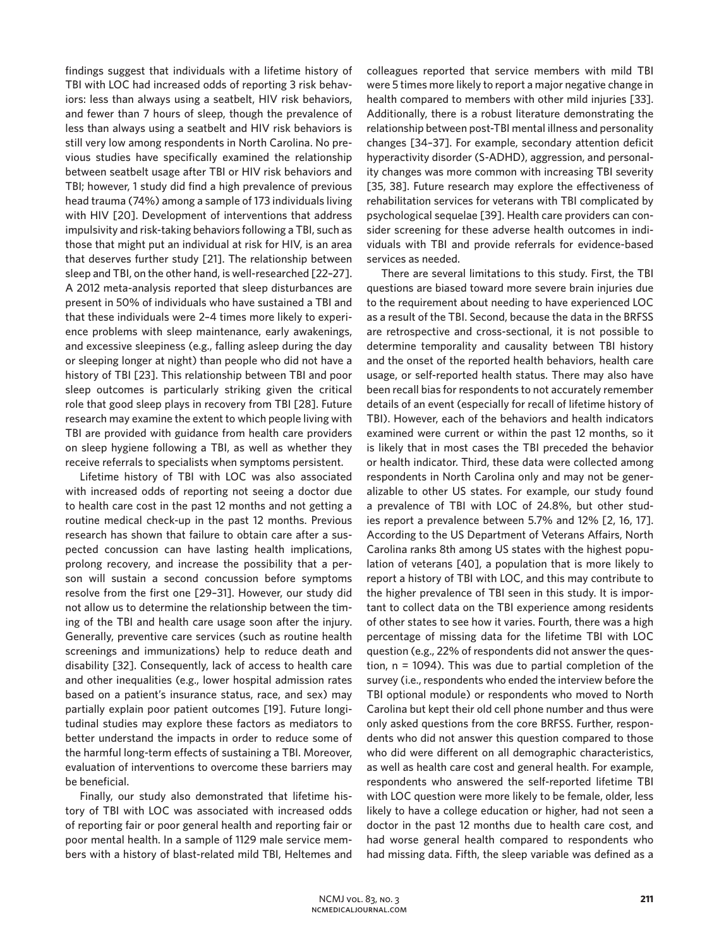findings suggest that individuals with a lifetime history of TBI with LOC had increased odds of reporting 3 risk behaviors: less than always using a seatbelt, HIV risk behaviors, and fewer than 7 hours of sleep, though the prevalence of less than always using a seatbelt and HIV risk behaviors is still very low among respondents in North Carolina. No previous studies have specifically examined the relationship between seatbelt usage after TBI or HIV risk behaviors and TBI; however, 1 study did find a high prevalence of previous head trauma (74%) among a sample of 173 individuals living with HIV [20]. Development of interventions that address impulsivity and risk-taking behaviors following a TBI, such as those that might put an individual at risk for HIV, is an area that deserves further study [21]. The relationship between sleep and TBI, on the other hand, is well-researched [22–27]. A 2012 meta-analysis reported that sleep disturbances are present in 50% of individuals who have sustained a TBI and that these individuals were 2–4 times more likely to experience problems with sleep maintenance, early awakenings, and excessive sleepiness (e.g., falling asleep during the day or sleeping longer at night) than people who did not have a history of TBI [23]. This relationship between TBI and poor sleep outcomes is particularly striking given the critical role that good sleep plays in recovery from TBI [28]. Future research may examine the extent to which people living with TBI are provided with guidance from health care providers on sleep hygiene following a TBI, as well as whether they receive referrals to specialists when symptoms persistent.

Lifetime history of TBI with LOC was also associated with increased odds of reporting not seeing a doctor due to health care cost in the past 12 months and not getting a routine medical check-up in the past 12 months. Previous research has shown that failure to obtain care after a suspected concussion can have lasting health implications, prolong recovery, and increase the possibility that a person will sustain a second concussion before symptoms resolve from the first one [29–31]. However, our study did not allow us to determine the relationship between the timing of the TBI and health care usage soon after the injury. Generally, preventive care services (such as routine health screenings and immunizations) help to reduce death and disability [32]. Consequently, lack of access to health care and other inequalities (e.g., lower hospital admission rates based on a patient's insurance status, race, and sex) may partially explain poor patient outcomes [19]. Future longitudinal studies may explore these factors as mediators to better understand the impacts in order to reduce some of the harmful long-term effects of sustaining a TBI. Moreover, evaluation of interventions to overcome these barriers may be beneficial.

Finally, our study also demonstrated that lifetime history of TBI with LOC was associated with increased odds of reporting fair or poor general health and reporting fair or poor mental health. In a sample of 1129 male service members with a history of blast-related mild TBI, Heltemes and colleagues reported that service members with mild TBI were 5 times more likely to report a major negative change in health compared to members with other mild injuries [33]. Additionally, there is a robust literature demonstrating the relationship between post-TBI mental illness and personality changes [34–37]. For example, secondary attention deficit hyperactivity disorder (S-ADHD), aggression, and personality changes was more common with increasing TBI severity [35, 38]. Future research may explore the effectiveness of rehabilitation services for veterans with TBI complicated by psychological sequelae [39]. Health care providers can consider screening for these adverse health outcomes in individuals with TBI and provide referrals for evidence-based services as needed.

There are several limitations to this study. First, the TBI questions are biased toward more severe brain injuries due to the requirement about needing to have experienced LOC as a result of the TBI. Second, because the data in the BRFSS are retrospective and cross-sectional, it is not possible to determine temporality and causality between TBI history and the onset of the reported health behaviors, health care usage, or self-reported health status. There may also have been recall bias for respondents to not accurately remember details of an event (especially for recall of lifetime history of TBI). However, each of the behaviors and health indicators examined were current or within the past 12 months, so it is likely that in most cases the TBI preceded the behavior or health indicator. Third, these data were collected among respondents in North Carolina only and may not be generalizable to other US states. For example, our study found a prevalence of TBI with LOC of 24.8%, but other studies report a prevalence between 5.7% and 12% [2, 16, 17]. According to the US Department of Veterans Affairs, North Carolina ranks 8th among US states with the highest population of veterans [40], a population that is more likely to report a history of TBI with LOC, and this may contribute to the higher prevalence of TBI seen in this study. It is important to collect data on the TBI experience among residents of other states to see how it varies. Fourth, there was a high percentage of missing data for the lifetime TBI with LOC question (e.g., 22% of respondents did not answer the question, n = 1094). This was due to partial completion of the survey (i.e., respondents who ended the interview before the TBI optional module) or respondents who moved to North Carolina but kept their old cell phone number and thus were only asked questions from the core BRFSS. Further, respondents who did not answer this question compared to those who did were different on all demographic characteristics, as well as health care cost and general health. For example, respondents who answered the self-reported lifetime TBI with LOC question were more likely to be female, older, less likely to have a college education or higher, had not seen a doctor in the past 12 months due to health care cost, and had worse general health compared to respondents who had missing data. Fifth, the sleep variable was defined as a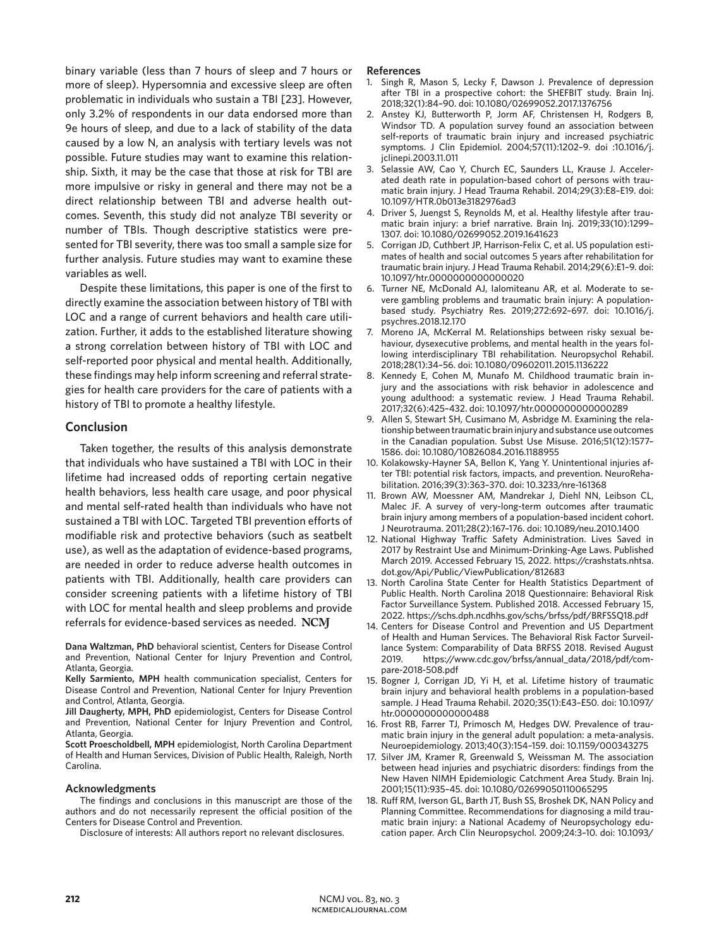binary variable (less than 7 hours of sleep and 7 hours or more of sleep). Hypersomnia and excessive sleep are often problematic in individuals who sustain a TBI [23]. However, only 3.2% of respondents in our data endorsed more than 9e hours of sleep, and due to a lack of stability of the data caused by a low N, an analysis with tertiary levels was not possible. Future studies may want to examine this relationship. Sixth, it may be the case that those at risk for TBI are more impulsive or risky in general and there may not be a direct relationship between TBI and adverse health outcomes. Seventh, this study did not analyze TBI severity or number of TBIs. Though descriptive statistics were presented for TBI severity, there was too small a sample size for further analysis. Future studies may want to examine these variables as well.

Despite these limitations, this paper is one of the first to directly examine the association between history of TBI with LOC and a range of current behaviors and health care utilization. Further, it adds to the established literature showing a strong correlation between history of TBI with LOC and self-reported poor physical and mental health. Additionally, these findings may help inform screening and referral strategies for health care providers for the care of patients with a history of TBI to promote a healthy lifestyle.

# **Conclusion**

Taken together, the results of this analysis demonstrate that individuals who have sustained a TBI with LOC in their lifetime had increased odds of reporting certain negative health behaviors, less health care usage, and poor physical and mental self-rated health than individuals who have not sustained a TBI with LOC. Targeted TBI prevention efforts of modifiable risk and protective behaviors (such as seatbelt use), as well as the adaptation of evidence-based programs, are needed in order to reduce adverse health outcomes in patients with TBI. Additionally, health care providers can consider screening patients with a lifetime history of TBI with LOC for mental health and sleep problems and provide referrals for evidence-based services as needed.

**Dana Waltzman, PhD** behavioral scientist, Centers for Disease Control and Prevention, National Center for Injury Prevention and Control, Atlanta, Georgia.

**Kelly Sarmiento, MPH** health communication specialist, Centers for Disease Control and Prevention, National Center for Injury Prevention and Control, Atlanta, Georgia.

**Jill Daugherty, MPH, PhD** epidemiologist, Centers for Disease Control and Prevention, National Center for Injury Prevention and Control, Atlanta, Georgia.

**Scott Proescholdbell, MPH** epidemiologist, North Carolina Department of Health and Human Services, Division of Public Health, Raleigh, North Carolina.

#### **Acknowledgments**

The findings and conclusions in this manuscript are those of the authors and do not necessarily represent the official position of the Centers for Disease Control and Prevention.

Disclosure of interests: All authors report no relevant disclosures.

#### **References**

- 1. Singh R, Mason S, Lecky F, Dawson J. Prevalence of depression after TBI in a prospective cohort: the SHEFBIT study. Brain Inj. 2018;32(1):84–90. doi: 10.1080/02699052.2017.1376756
- 2. Anstey KJ, Butterworth P, Jorm AF, Christensen H, Rodgers B, Windsor TD. A population survey found an association between self-reports of traumatic brain injury and increased psychiatric symptoms. J Clin Epidemiol. 2004;57(11):1202–9. doi :10.1016/j. jclinepi.2003.11.011
- 3. Selassie AW, Cao Y, Church EC, Saunders LL, Krause J. Accelerated death rate in population-based cohort of persons with traumatic brain injury. J Head Trauma Rehabil. 2014;29(3):E8–E19. doi: 10.1097/HTR.0b013e3182976ad3
- 4. Driver S, Juengst S, Reynolds M, et al. Healthy lifestyle after traumatic brain injury: a brief narrative. Brain Inj. 2019;33(10):1299– 1307. doi: 10.1080/02699052.2019.1641623
- 5. Corrigan JD, Cuthbert JP, Harrison-Felix C, et al. US population estimates of health and social outcomes 5 years after rehabilitation for traumatic brain injury. J Head Trauma Rehabil. 2014;29(6):E1–9. doi: 10.1097/htr.0000000000000020
- 6. Turner NE, McDonald AJ, Ialomiteanu AR, et al. Moderate to severe gambling problems and traumatic brain injury: A populationbased study. Psychiatry Res. 2019;272:692–697. doi: 10.1016/j. psychres.2018.12.170
- 7. Moreno JA, McKerral M. Relationships between risky sexual behaviour, dysexecutive problems, and mental health in the years following interdisciplinary TBI rehabilitation. Neuropsychol Rehabil. 2018;28(1):34–56. doi: 10.1080/09602011.2015.1136222
- 8. Kennedy E, Cohen M, Munafo M. Childhood traumatic brain injury and the associations with risk behavior in adolescence and young adulthood: a systematic review. J Head Trauma Rehabil. 2017;32(6):425–432. doi: 10.1097/htr.0000000000000289
- 9. Allen S, Stewart SH, Cusimano M, Asbridge M. Examining the relationship between traumatic brain injury and substance use outcomes in the Canadian population. Subst Use Misuse. 2016;51(12):1577– 1586. doi: 10.1080/10826084.2016.1188955
- 10. Kolakowsky-Hayner SA, Bellon K, Yang Y. Unintentional injuries after TBI: potential risk factors, impacts, and prevention. NeuroRehabilitation. 2016;39(3):363–370. doi: 10.3233/nre-161368
- 11. Brown AW, Moessner AM, Mandrekar J, Diehl NN, Leibson CL, Malec JF. A survey of very-long-term outcomes after traumatic brain injury among members of a population-based incident cohort. J Neurotrauma. 2011;28(2):167–176. doi: 10.1089/neu.2010.1400
- 12. National Highway Traffic Safety Administration. Lives Saved in 2017 by Restraint Use and Minimum-Drinking-Age Laws. Published March 2019. Accessed February 15, 2022. https://crashstats.nhtsa. dot.gov/Api/Public/ViewPublication/812683
- 13. North Carolina State Center for Health Statistics Department of Public Health. North Carolina 2018 Questionnaire: Behavioral Risk Factor Surveillance System. Published 2018. Accessed February 15, 2022. https://schs.dph.ncdhhs.gov/schs/brfss/pdf/BRFSSQ18.pdf
- 14. Centers for Disease Control and Prevention and US Department of Health and Human Services. The Behavioral Risk Factor Surveillance System: Comparability of Data BRFSS 2018. Revised August 2019. https://www.cdc.gov/brfss/annual\_data/2018/pdf/compare-2018-508.pdf
- 15. Bogner J, Corrigan JD, Yi H, et al. Lifetime history of traumatic brain injury and behavioral health problems in a population-based sample. J Head Trauma Rehabil. 2020;35(1):E43–E50. doi: 10.1097/ htr.0000000000000488
- 16. Frost RB, Farrer TJ, Primosch M, Hedges DW. Prevalence of traumatic brain injury in the general adult population: a meta-analysis. Neuroepidemiology. 2013;40(3):154–159. doi: 10.1159/000343275
- 17. Silver JM, Kramer R, Greenwald S, Weissman M. The association between head injuries and psychiatric disorders: findings from the New Haven NIMH Epidemiologic Catchment Area Study. Brain Inj. 2001;15(11):935–45. doi: 10.1080/02699050110065295
- 18. Ruff RM, Iverson GL, Barth JT, Bush SS, Broshek DK, NAN Policy and Planning Committee. Recommendations for diagnosing a mild traumatic brain injury: a National Academy of Neuropsychology education paper. Arch Clin Neuropsychol. 2009;24:3–10. doi: 10.1093/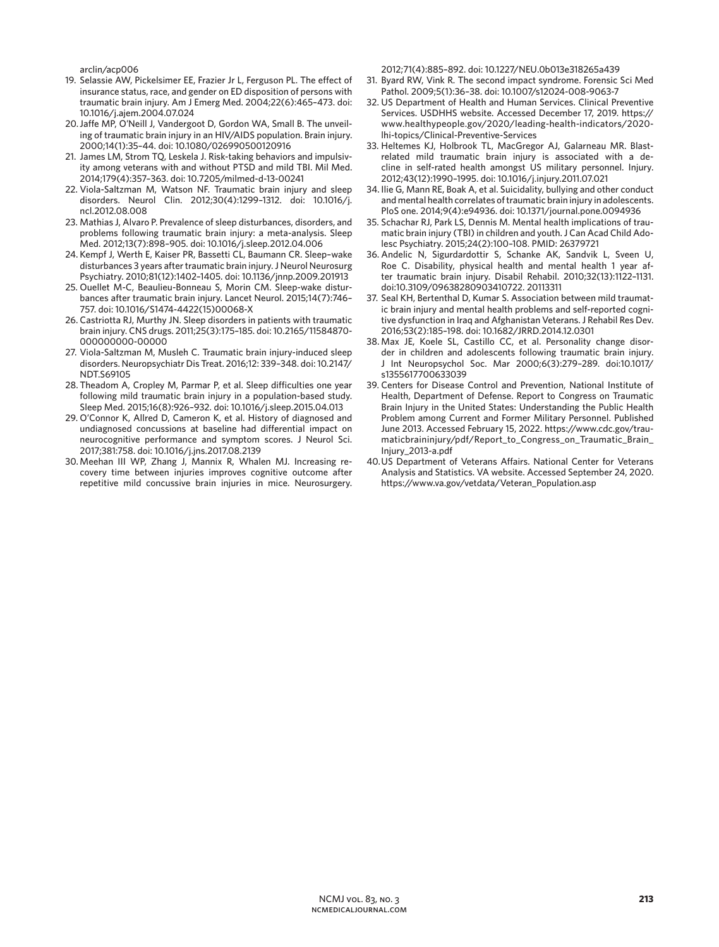arclin/acp006

- 19. Selassie AW, Pickelsimer EE, Frazier Jr L, Ferguson PL. The effect of insurance status, race, and gender on ED disposition of persons with traumatic brain injury. Am J Emerg Med. 2004;22(6):465–473. doi: 10.1016/j.ajem.2004.07.024
- 20.Jaffe MP, O'Neill J, Vandergoot D, Gordon WA, Small B. The unveiling of traumatic brain injury in an HIV/AIDS population. Brain injury. 2000;14(1):35–44. doi: 10.1080/026990500120916
- 21. James LM, Strom TQ, Leskela J. Risk-taking behaviors and impulsivity among veterans with and without PTSD and mild TBI. Mil Med. 2014;179(4):357–363. doi: 10.7205/milmed-d-13-00241
- 22. Viola-Saltzman M, Watson NF. Traumatic brain injury and sleep disorders. Neurol Clin. 2012;30(4):1299–1312. doi: 10.1016/j. ncl.2012.08.008
- 23. Mathias J, Alvaro P. Prevalence of sleep disturbances, disorders, and problems following traumatic brain injury: a meta-analysis. Sleep Med. 2012;13(7):898–905. doi: 10.1016/j.sleep.2012.04.006
- 24. Kempf J, Werth E, Kaiser PR, Bassetti CL, Baumann CR. Sleep–wake disturbances 3 years after traumatic brain injury. J Neurol Neurosurg Psychiatry. 2010;81(12):1402–1405. doi: 10.1136/jnnp.2009.201913
- 25. Ouellet M-C, Beaulieu-Bonneau S, Morin CM. Sleep-wake disturbances after traumatic brain injury. Lancet Neurol. 2015;14(7):746– 757. doi: 10.1016/S1474-4422(15)00068-X
- 26. Castriotta RJ, Murthy JN. Sleep disorders in patients with traumatic brain injury. CNS drugs. 2011;25(3):175–185. doi: 10.2165/11584870- 000000000-00000
- 27. Viola-Saltzman M, Musleh C. Traumatic brain injury-induced sleep disorders. Neuropsychiatr Dis Treat. 2016;12: 339–348. doi: 10.2147/ NDT.S69105
- 28. Theadom A, Cropley M, Parmar P, et al. Sleep difficulties one year following mild traumatic brain injury in a population-based study. Sleep Med. 2015;16(8):926–932. doi: 10.1016/j.sleep.2015.04.013
- 29. O'Connor K, Allred D, Cameron K, et al. History of diagnosed and undiagnosed concussions at baseline had differential impact on neurocognitive performance and symptom scores. J Neurol Sci. 2017;381:758. doi: 10.1016/j.jns.2017.08.2139
- 30. Meehan III WP, Zhang J, Mannix R, Whalen MJ. Increasing recovery time between injuries improves cognitive outcome after repetitive mild concussive brain injuries in mice. Neurosurgery.

2012;71(4):885–892. doi: 10.1227/NEU.0b013e318265a439

- 31. Byard RW, Vink R. The second impact syndrome. Forensic Sci Med Pathol. 2009;5(1):36–38. doi: 10.1007/s12024-008-9063-7
- 32. US Department of Health and Human Services. Clinical Preventive Services. USDHHS website. Accessed December 17, 2019. https:// www.healthypeople.gov/2020/leading-health-indicators/2020 lhi-topics/Clinical-Preventive-Services
- 33. Heltemes KJ, Holbrook TL, MacGregor AJ, Galarneau MR. Blastrelated mild traumatic brain injury is associated with a decline in self-rated health amongst US military personnel. Injury. 2012;43(12):1990–1995. doi: 10.1016/j.injury.2011.07.021
- 34. Ilie G, Mann RE, Boak A, et al. Suicidality, bullying and other conduct and mental health correlates of traumatic brain injury in adolescents. PloS one. 2014;9(4):e94936. doi: 10.1371/journal.pone.0094936
- 35. Schachar RJ, Park LS, Dennis M. Mental health implications of traumatic brain injury (TBI) in children and youth. J Can Acad Child Adolesc Psychiatry. 2015;24(2):100–108. PMID: 26379721
- 36. Andelic N, Sigurdardottir S, Schanke AK, Sandvik L, Sveen U, Roe C. Disability, physical health and mental health 1 year after traumatic brain injury. Disabil Rehabil. 2010;32(13):1122–1131. doi:10.3109/09638280903410722. 20113311
- 37. Seal KH, Bertenthal D, Kumar S. Association between mild traumatic brain injury and mental health problems and self-reported cognitive dysfunction in Iraq and Afghanistan Veterans. J Rehabil Res Dev. 2016;53(2):185–198. doi: 10.1682/JRRD.2014.12.0301
- 38. Max JE, Koele SL, Castillo CC, et al. Personality change disorder in children and adolescents following traumatic brain injury. J Int Neuropsychol Soc. Mar 2000;6(3):279–289. doi:10.1017/ s1355617700633039
- 39. Centers for Disease Control and Prevention, National Institute of Health, Department of Defense. Report to Congress on Traumatic Brain Injury in the United States: Understanding the Public Health Problem among Current and Former Military Personnel. Published June 2013. Accessed February 15, 2022. https://www.cdc.gov/traumaticbraininjury/pdf/Report\_to\_Congress\_on\_Traumatic\_Brain\_ Injury\_2013-a.pdf
- 40.US Department of Veterans Affairs. National Center for Veterans Analysis and Statistics. VA website. Accessed September 24, 2020. https://www.va.gov/vetdata/Veteran\_Population.asp